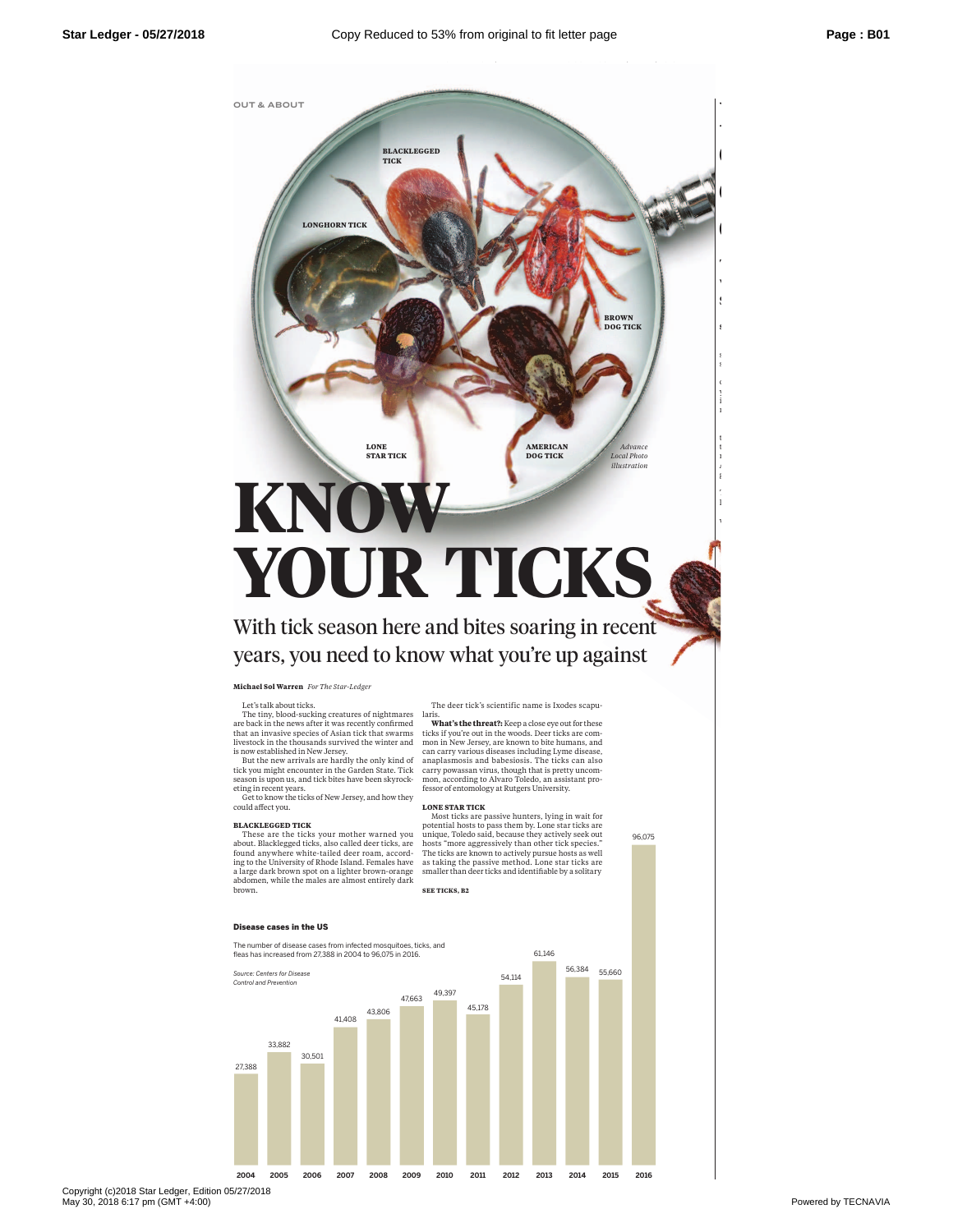

# **YOUR TICKS**

With tick season here and bites soaring in recent years, you need to knowwhat you're up against

**Michael Sol Warren** *For The Star-Ledger*

These are the ticks your mother warned you about. Blacklegged ticks, also called deer ticks, are found anywhere white-tailed deer roam, accord-ing to the University of Rhode Island. Females have a large dark brown spot on a lighter brown-orange abdomen, while the males are almost entirely dark

Let's talkabout ticks.

could affect you. **BLACKLEGGED TICK**

brown.

The deer tick's scientific name is Ixodes scapu-

The tiny, blood-sucking creatures of nightmares are back in the news after it was recently confirmed that an invasive species of Asian tick that swarms livestock in the thousands survived the winter and is now established in New Jersey. But the new arrivals are hardly the only kind of tick you might encounter in the Garden State. Tick season is upon us, and tick bites have been skyrock-eting in recentyears. Get to know the ticks of New Jersey, and how they laris.<br>**What's the threat?:** Keep a close eye out for these<br>ticks if you're out in the woods. Deer ticks are common in New Jersey, are known to bite humans, and can carry various diseases including Lyme disease, anaplasmosis and babesiosis. The ticks can also carry powassan virus, though that is pretty uncommon, according to Alvaro Toledo, an assistant pro-fessor of entomology at Rutgers University.

**LONE STAR TICK**<br> **NOST STARTICAL MORE START WAS THE MORE START WAS THE MORE TO PROSE AND MORE TO PROSE AND MORE TO MOST START MORE TO MOST START THE TICK SERVED TO MORE THAT THE TRE THE TRE THE TRE THE THE TRE THE THE THE** smaller than deer ticks and identifiable by a solitary

96,075

**SEE TICKS, B2**

## Disease cases in the US

**2004 2007 2005 2006 2009 2008 2011 2010 2013 2012 2015 2014 2016** 27,388 33,882 30,501 41,408 43,806 47,663 49,397 45,178 54,114 61,146 56,384 55,660 The number of disease cases from infected mosquitoes, ticks, and fleas has increased from 27,388 in 2004 to 96,075 in 2016. *Source: Centers for Disease Control and Prevention*

Copyright (c)2018 Star Ledger, Edition 05/27/2018 May 30, 2018 6:17 pm (GMT +4:00) Powered by TECNAVIA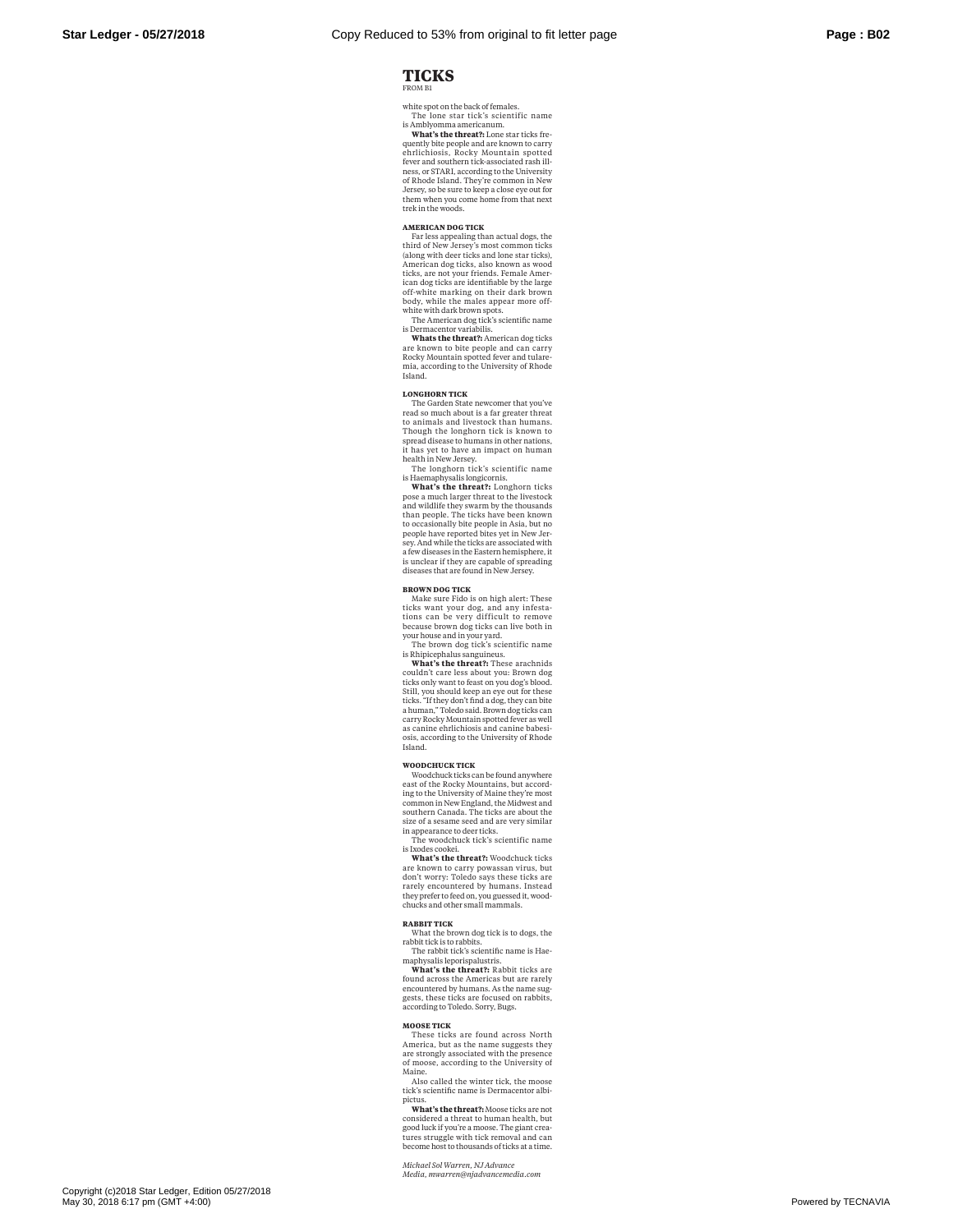LEDGER, AFFILIATED WITH NJ.COM EX

# **TICKS** FROM B1

white spot on the back of females. The lone star tick's scientific name

is Amblyomma americanum. **What's the threat?:** Lone star ticks frequently bite people and are known to carry<br>ehrlichiosis, Rocky Mountain spotted<br>fever and southern tick-associated rash illness, or STARI, according to the University<br>of Rhode Island. They're common in New<br>Jersey, so be sure to keep a close eye out for them when you come home from that next trek in the woods.

## **AMERICAN DOG TICK**

Far less appealing than actual dogs, the third of New Jersey's most common ticks (along with deer ticks and lone star ticks), American dog ticks, also known as wood ticks, are not your friends. Female Amer-ican dog ticks are identifiable by the large off-white marking on their dark brown body, while the males appear more off-white with dark brown spots. The American dog tick's scientific name

is Dermacentor variabilis.

**Whats the threat?:** American dog ticks are known to bite people and can carry Rocky Mountain spotted fever and tularemia, according to the University of Rhode Island.

**LONGHORN TICK** The Garden State newcomer that you've read so much about is a far greater threat to animals and livestock than humans. Though the longhorn tick is known to spread disease to humans in other nations, it has yet to have an impact on human

health in New Jersey. The longhorn tick's scientific name is Haemaphysalis longicornis.

**What's the threat?:** Longhorn ticks pose a much larger threat to the livestock and wildlife they swarm by the thousands than people. The ticks have been known<br>to occasionally bite people in Asia, but no<br>people have reported bites yet in New Jer-<br>sey. And while the ticks are associated with a few diseases in the Eastern hemisphere, it is unclear if they are capable of spreading diseases that are found in New Jersey.

### **BROWN DOG TICK**

Make sure Fido is on high alert: These ticks want your dog, and any infesta-tions can be very difficult to remove because brown dog ticks can live both in

your house and in your yard. The brown dog tick's scientific name is Rhipicephalus sanguineus.

**What's the threat?:** These arachnids<br>couldn't care less about you: Brown dog<br>ticks only want to feast on you dog's blood.<br>Still, you should keep an eye out for these<br>ticks. "If they don't find a dog, they can bite<br>a human as canine ehrlichiosis and canine babesiosis, according to the University of Rhode Island.

## **WOODCHUCK TICK**

Woodchuck ticks can be found anywhere east of the Rocky Mountains, but accord-ing to the University of Maine they're most common in New England, the Midwest and<br>southern Canada. The ticks are about the<br>size of a sesame seed and are very similar in appearance to deer ticks.

The woodchuck tick's scientific name is Ixodes cookei. **What's the threat?:** Woodchuck ticks

are known to carry powassan virus, but don't worry: Toledo says these ticks are rarely encountered by humans. Instead they prefer to feed on, you guessed it, wood-chucks and other small mammals.

**RABBIT TICK** What the brown dog tick is to dogs, the rabbit tick is to rabbits.

The rabbit tick's scientific name is Hae-maphysalis leporispalustris. **What's the threat?:** Rabbit ticks are

found across the Americas but are rarely encountered by humans. As the name sug-<br>gests, these ticks are focused on rabbits, according to Toledo. Sorry, Bugs.

**MOOSE TICK**<br>These ticks are found across North<br>America, but as the name suggests they<br>are strongly associated with the presence<br>of moose, according to the University of

Maine. Also called the winter tick, the moose tick's scientific name is Dermacentor albi-

pictus. **What's the threat?:** Moose ticksarenot considered a threat to human health, but good luck if you're a moose. The giant crea-tures struggle with tick removal and can become host to thousands of ticks at a time.

*Michael Sol Warren, NJ Advance Media, mwarren@njadvancemedia.com*